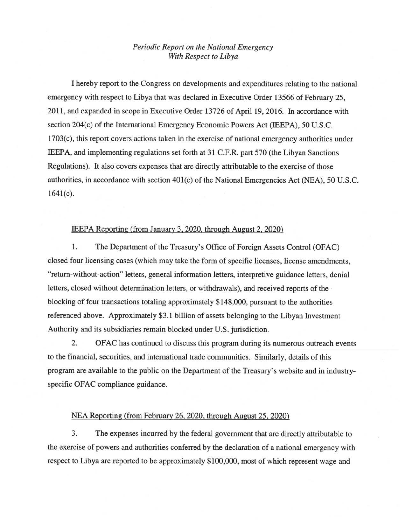## *Periodic Report on the Nationai Emergency With Respect to Libya*

1 hereby report to the Congress on developments and expenditures relating to the national emergency with respect to Libya that was declared in Executive Order 13566 of February 25 , 2011, and expanded in scope in Executive Order 13726 of April 19, 2016. In accordance with section 204(c) of the International Emergency Economic Powers Act (IEEPA), 50 U.S.C. 1703(c), this report covers actions taken in the exercise of national emergency authorities under IEEPA, and implementing regulations set forth at 31 C.F.R. part 570 (the Libyan Sanctions Regulations). It also covers expenses that are directly attributable to the exercise of those authorities, in accordance with section 401(c) of the National Emergencies Act (NEA), 50 U.S.C .  $1641(c)$ .

## IEEPA Reporting (from January 3, 2020, through August 2,2020)

1. The Department of the Treasury's Office of Foreign Assets Control (OFAC) closed four licensing cases (which may take the form of specific licenses, license amendments, "return-without-action" letters, general information letters, interpretive guidance letters, denial letters, closed without determination letters, or withdrawals), and received reports of the blocking of four transactions totaling approximately \$148,000, pursuant to the authorities referenced above. Approximately \$3.1 billion of assets belonging to the Libyan Investment Authority and its subsidiaries remain blocked under U.S. jurisdiction.

2. OF AC has continued to discuss this program during its numerous outreach events to the financial, securities, and international trade communities. Similarly, details of this program are available to the public on the Department of the Treasury's website and in industryspecific OFAC compliance guidance.

## NEA Reporting (from February 26, 2020, through August 25, 2020)

3. The expenses incurred by the federal government that are directly attributable to the exercise of powers and authorities conferred by the declaration of a national emergency with respect to Libya are reported to be approximately \$100,000, most of which represent wage and